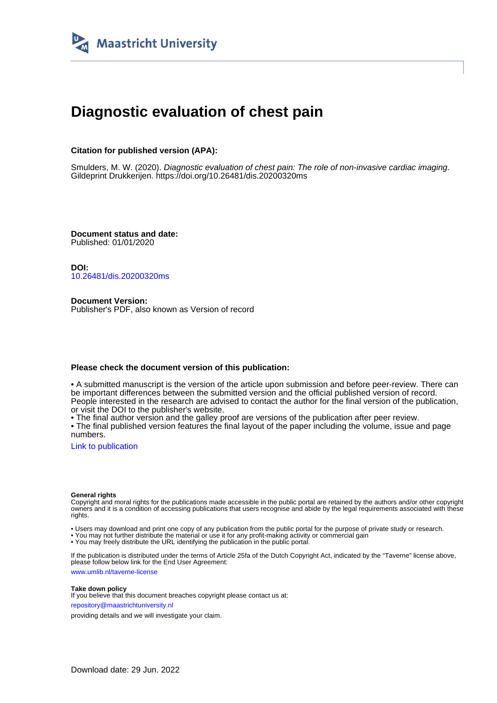

# **Diagnostic evaluation of chest pain**

### **Citation for published version (APA):**

Smulders, M. W. (2020). Diagnostic evaluation of chest pain: The role of non-invasive cardiac imaging. Gildeprint Drukkerijen. <https://doi.org/10.26481/dis.20200320ms>

**Document status and date:** Published: 01/01/2020

**DOI:** [10.26481/dis.20200320ms](https://doi.org/10.26481/dis.20200320ms)

**Document Version:** Publisher's PDF, also known as Version of record

#### **Please check the document version of this publication:**

• A submitted manuscript is the version of the article upon submission and before peer-review. There can be important differences between the submitted version and the official published version of record. People interested in the research are advised to contact the author for the final version of the publication, or visit the DOI to the publisher's website.

• The final author version and the galley proof are versions of the publication after peer review.

• The final published version features the final layout of the paper including the volume, issue and page numbers.

[Link to publication](https://cris.maastrichtuniversity.nl/en/publications/e3ef36a2-955b-4692-96e8-b7a1ccd580a0)

#### **General rights**

Copyright and moral rights for the publications made accessible in the public portal are retained by the authors and/or other copyright owners and it is a condition of accessing publications that users recognise and abide by the legal requirements associated with these rights.

• Users may download and print one copy of any publication from the public portal for the purpose of private study or research.

• You may not further distribute the material or use it for any profit-making activity or commercial gain

• You may freely distribute the URL identifying the publication in the public portal.

If the publication is distributed under the terms of Article 25fa of the Dutch Copyright Act, indicated by the "Taverne" license above, please follow below link for the End User Agreement:

www.umlib.nl/taverne-license

#### **Take down policy**

If you believe that this document breaches copyright please contact us at: repository@maastrichtuniversity.nl

providing details and we will investigate your claim.